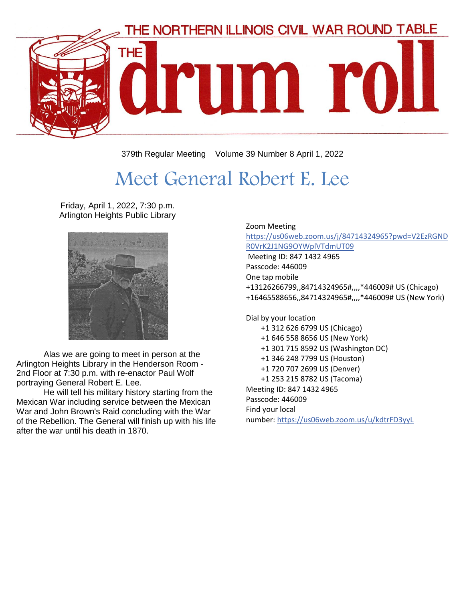

379th Regular Meeting Volume 39 Number 8 April 1, 2022

# Meet General Robert E. Lee

Friday, April 1, 2022, 7:30 p.m. Arlington Heights Public Library



Alas we are going to meet in person at the Arlington Heights Library in the Henderson Room - 2nd Floor at 7:30 p.m. with re-enactor Paul Wolf portraying General Robert E. Lee.

He will tell his military history starting from the Mexican War including service between the Mexican War and John Brown's Raid concluding with the War of the Rebellion. The General will finish up with his life after the war until his death in 1870.

#### Zoom Meeting [https://us06web.zoom.us/j/84714324965?pwd=V2EzRGND](https://us06web.zoom.us/j/84714324965?pwd=V2EzRGNDR0VrK2J1NG9OYWplVTdmUT09) [R0VrK2J1NG9OYWplVTdmUT09](https://us06web.zoom.us/j/84714324965?pwd=V2EzRGNDR0VrK2J1NG9OYWplVTdmUT09) Meeting ID: 847 1432 4965 Passcode: 446009

One tap mobile +13126266799,,84714324965#,,,,\*446009# US (Chicago) +16465588656,,84714324965#,,,,\*446009# US (New York)

Dial by your location

- +1 312 626 6799 US (Chicago)
- +1 646 558 8656 US (New York)
- +1 301 715 8592 US (Washington DC)
- +1 346 248 7799 US (Houston)
- +1 720 707 2699 US (Denver)
- +1 253 215 8782 US (Tacoma)

Meeting ID: 847 1432 4965 Passcode: 446009 Find your local number: <https://us06web.zoom.us/u/kdtrFD3yyL>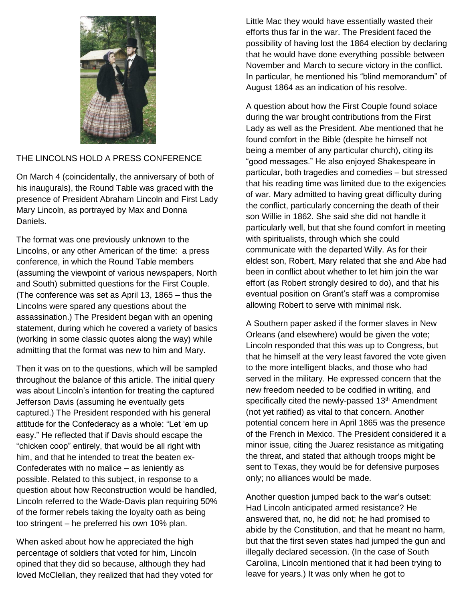

#### THE LINCOLNS HOLD A PRESS CONFERENCE

On March 4 (coincidentally, the anniversary of both of his inaugurals), the Round Table was graced with the presence of President Abraham Lincoln and First Lady Mary Lincoln, as portrayed by Max and Donna Daniels.

The format was one previously unknown to the Lincolns, or any other American of the time: a press conference, in which the Round Table members (assuming the viewpoint of various newspapers, North and South) submitted questions for the First Couple. (The conference was set as April 13, 1865 – thus the Lincolns were spared any questions about the assassination.) The President began with an opening statement, during which he covered a variety of basics (working in some classic quotes along the way) while admitting that the format was new to him and Mary.

Then it was on to the questions, which will be sampled throughout the balance of this article. The initial query was about Lincoln's intention for treating the captured Jefferson Davis (assuming he eventually gets captured.) The President responded with his general attitude for the Confederacy as a whole: "Let 'em up easy." He reflected that if Davis should escape the "chicken coop" entirely, that would be all right with him, and that he intended to treat the beaten ex-Confederates with no malice – as leniently as possible. Related to this subject, in response to a question about how Reconstruction would be handled, Lincoln referred to the Wade-Davis plan requiring 50% of the former rebels taking the loyalty oath as being too stringent – he preferred his own 10% plan.

When asked about how he appreciated the high percentage of soldiers that voted for him, Lincoln opined that they did so because, although they had loved McClellan, they realized that had they voted for Little Mac they would have essentially wasted their efforts thus far in the war. The President faced the possibility of having lost the 1864 election by declaring that he would have done everything possible between November and March to secure victory in the conflict. In particular, he mentioned his "blind memorandum" of August 1864 as an indication of his resolve.

A question about how the First Couple found solace during the war brought contributions from the First Lady as well as the President. Abe mentioned that he found comfort in the Bible (despite he himself not being a member of any particular church), citing its "good messages." He also enjoyed Shakespeare in particular, both tragedies and comedies – but stressed that his reading time was limited due to the exigencies of war. Mary admitted to having great difficulty during the conflict, particularly concerning the death of their son Willie in 1862. She said she did not handle it particularly well, but that she found comfort in meeting with spiritualists, through which she could communicate with the departed Willy. As for their eldest son, Robert, Mary related that she and Abe had been in conflict about whether to let him join the war effort (as Robert strongly desired to do), and that his eventual position on Grant's staff was a compromise allowing Robert to serve with minimal risk.

A Southern paper asked if the former slaves in New Orleans (and elsewhere) would be given the vote; Lincoln responded that this was up to Congress, but that he himself at the very least favored the vote given to the more intelligent blacks, and those who had served in the military. He expressed concern that the new freedom needed to be codified in writing, and specifically cited the newly-passed 13<sup>th</sup> Amendment (not yet ratified) as vital to that concern. Another potential concern here in April 1865 was the presence of the French in Mexico. The President considered it a minor issue, citing the Juarez resistance as mitigating the threat, and stated that although troops might be sent to Texas, they would be for defensive purposes only; no alliances would be made.

Another question jumped back to the war's outset: Had Lincoln anticipated armed resistance? He answered that, no, he did not; he had promised to abide by the Constitution, and that he meant no harm, but that the first seven states had jumped the gun and illegally declared secession. (In the case of South Carolina, Lincoln mentioned that it had been trying to leave for years.) It was only when he got to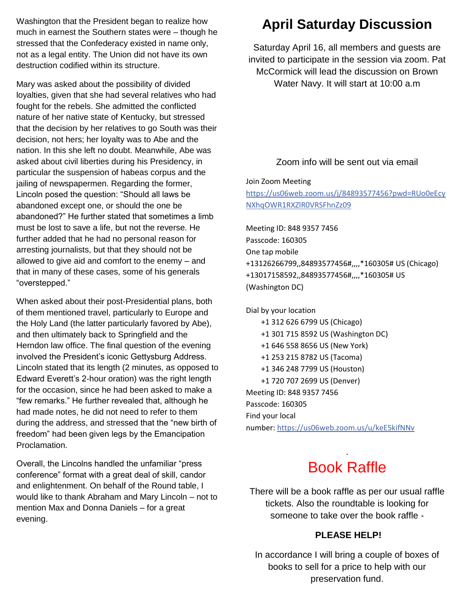Washington that the President began to realize how much in earnest the Southern states were – though he stressed that the Confederacy existed in name only, not as a legal entity. The Union did not have its own destruction codified within its structure.

Mary was asked about the possibility of divided loyalties, given that she had several relatives who had fought for the rebels. She admitted the conflicted nature of her native state of Kentucky, but stressed that the decision by her relatives to go South was their decision, not hers; her loyalty was to Abe and the nation. In this she left no doubt. Meanwhile, Abe was asked about civil liberties during his Presidency, in particular the suspension of habeas corpus and the jailing of newspapermen. Regarding the former, Lincoln posed the question: "Should all laws be abandoned except one, or should the one be abandoned?" He further stated that sometimes a limb must be lost to save a life, but not the reverse. He further added that he had no personal reason for arresting journalists, but that they should not be allowed to give aid and comfort to the enemy – and that in many of these cases, some of his generals "overstepped."

When asked about their post-Presidential plans, both of them mentioned travel, particularly to Europe and the Holy Land (the latter particularly favored by Abe), and then ultimately back to Springfield and the Herndon law office. The final question of the evening involved the President's iconic Gettysburg Address. Lincoln stated that its length (2 minutes, as opposed to Edward Everett's 2-hour oration) was the right length for the occasion, since he had been asked to make a "few remarks." He further revealed that, although he had made notes, he did not need to refer to them during the address, and stressed that the "new birth of freedom" had been given legs by the Emancipation Proclamation.

Overall, the Lincolns handled the unfamiliar "press conference" format with a great deal of skill, candor and enlightenment. On behalf of the Round table, I would like to thank Abraham and Mary Lincoln – not to mention Max and Donna Daniels – for a great evening.

### **April Saturday Discussion**

Saturday April 16, all members and guests are invited to participate in the session via zoom. Pat McCormick will lead the discussion on Brown Water Navy. It will start at 10:00 a.m

#### Zoom info will be sent out via email

Join Zoom Meeting

[https://us06web.zoom.us/j/84893577456?pwd=RUo0eEcy](https://us06web.zoom.us/j/84893577456?pwd=RUo0eEcyNXhqOWR1RXZlR0VRSFhnZz09) [NXhqOWR1RXZlR0VRSFhnZz09](https://us06web.zoom.us/j/84893577456?pwd=RUo0eEcyNXhqOWR1RXZlR0VRSFhnZz09)

Meeting ID: 848 9357 7456 Passcode: 160305 One tap mobile +13126266799,,84893577456#,,,,\*160305# US (Chicago) +13017158592,,84893577456#,,,,\*160305# US (Washington DC)

Dial by your location +1 312 626 6799 US (Chicago) +1 301 715 8592 US (Washington DC) +1 646 558 8656 US (New York) +1 253 215 8782 US (Tacoma) +1 346 248 7799 US (Houston) +1 720 707 2699 US (Denver) Meeting ID: 848 9357 7456 Passcode: 160305 Find your local number: <https://us06web.zoom.us/u/keE5kifNNv>

## Book Raffle

.

There will be a book raffle as per our usual raffle tickets. Also the roundtable is looking for someone to take over the book raffle -

#### **PLEASE HELP!**

In accordance I will bring a couple of boxes of books to sell for a price to help with our preservation fund.